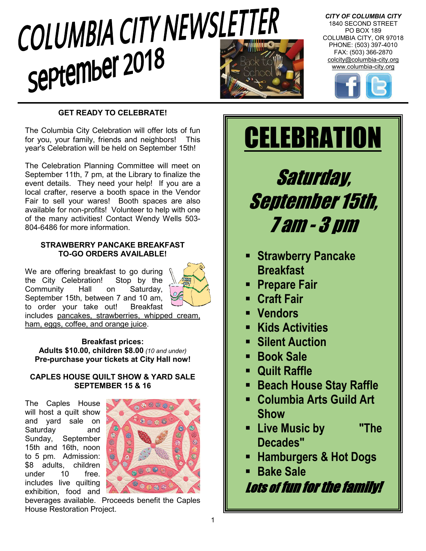# COLUMBIA CITY NEWSLETTER september 2018



*CITY OF COLUMBIA CITY* 1840 SECOND STREET PO BOX 189 COLUMBIA CITY, OR 97018 PHONE: (503) 397-4010 FAX: (503) 366-2870 colcity@columbia-city.org www.columbia-city.org



# **GET READY TO CELEBRATE!**

The Columbia City Celebration will offer lots of fun for you, your family, friends and neighbors! This year's Celebration will be held on September 15th!

The Celebration Planning Committee will meet on September 11th, 7 pm, at the Library to finalize the event details. They need your help! If you are a local crafter, reserve a booth space in the Vendor Fair to sell your wares! Booth spaces are also available for non-profits! Volunteer to help with one of the many activities! Contact Wendy Wells 503- 804-6486 for more information.

# **STRAWBERRY PANCAKE BREAKFAST TO-GO ORDERS AVAILABLE!**

We are offering breakfast to go during<br>the City Celebration! Stop by the the City Celebration! Community Hall on Saturday, September 15th, between 7 and 10 am, to order your take out! Breakfast



includes pancakes, strawberries, whipped cream, ham, eggs, coffee, and orange juice.

**Breakfast prices: Adults \$10.00, children \$8.00** *(10 and under)* **Pre-purchase your tickets at City Hall now!**

# **CAPLES HOUSE QUILT SHOW & YARD SALE SEPTEMBER 15 & 16**

The Caples House will host a quilt show and yard sale on Saturday and Sunday, September 15th and 16th, noon to 5 pm. Admission: \$8 adults, children under 10 free. includes live quilting exhibition, food and



beverages available. Proceeds benefit the Caples House Restoration Project.

Saturday, September 15th, 7 am - 3 pm

**CELEBRATION** 

- **Strawberry Pancake Breakfast**
- **Prepare Fair**
- **Craft Fair**
- **Vendors**
- **Kids Activities**
- **Silent Auction**
- **Book Sale**
- **Quilt Raffle**
- **Beach House Stay Raffle**
- **Columbia Arts Guild Art Show**
- **Live Music by "The Decades"**
- **Hamburgers & Hot Dogs**
- **Bake Sale**

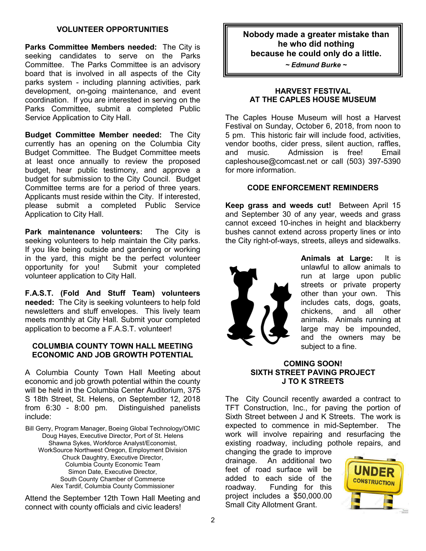## **VOLUNTEER OPPORTUNITIES**

**Parks Committee Members needed:** The City is seeking candidates to serve on the Parks Committee. The Parks Committee is an advisory board that is involved in all aspects of the City parks system - including planning activities, park development, on-going maintenance, and event coordination. If you are interested in serving on the Parks Committee, submit a completed Public Service Application to City Hall.

**Budget Committee Member needed:** The City currently has an opening on the Columbia City Budget Committee. The Budget Committee meets at least once annually to review the proposed budget, hear public testimony, and approve a budget for submission to the City Council. Budget Committee terms are for a period of three years. Applicants must reside within the City. If interested, please submit a completed Public Service Application to City Hall.

**Park maintenance volunteers:** The City is seeking volunteers to help maintain the City parks. If you like being outside and gardening or working in the yard, this might be the perfect volunteer opportunity for you! Submit your completed volunteer application to City Hall.

**F.A.S.T. (Fold And Stuff Team) volunteers needed:** The City is seeking volunteers to help fold newsletters and stuff envelopes. This lively team meets monthly at City Hall. Submit your completed application to become a F.A.S.T. volunteer!

#### **COLUMBIA COUNTY TOWN HALL MEETING ECONOMIC AND JOB GROWTH POTENTIAL**

A Columbia County Town Hall Meeting about economic and job growth potential within the county will be held in the Columbia Center Auditorium, 375 S 18th Street, St. Helens, on September 12, 2018 from 6:30 - 8:00 pm. Distinguished panelists include:

Bill Gerry, Program Manager, Boeing Global Technology/OMIC Doug Hayes, Executive Director, Port of St. Helens Shawna Sykes, Workforce Analyst/Economist, WorkSource Northwest Oregon, Employment Division Chuck Daughtry, Executive Director, Columbia County Economic Team Simon Date, Executive Director, South County Chamber of Commerce Alex Tardif, Columbia County Commissioner

Attend the September 12th Town Hall Meeting and connect with county officials and civic leaders!

**Nobody made a greater mistake than he who did nothing because he could only do a little.**

*~ Edmund Burke ~*

#### **HARVEST FESTIVAL AT THE CAPLES HOUSE MUSEUM**

The Caples House Museum will host a Harvest Festival on Sunday, October 6, 2018, from noon to 5 pm. This historic fair will include food, activities, vendor booths, cider press, silent auction, raffles, and music. Admission is free! Email capleshouse@comcast.net or call (503) 397-5390 for more information.

## **CODE ENFORCEMENT REMINDERS**

**Keep grass and weeds cut!** Between April 15 and September 30 of any year, weeds and grass cannot exceed 10-inches in height and blackberry bushes cannot extend across property lines or into the City right-of-ways, streets, alleys and sidewalks.



**Animals at Large:** It is unlawful to allow animals to run at large upon public streets or private property other than your own. This includes cats, dogs, goats, chickens, and all other animals. Animals running at large may be impounded, and the owners may be subject to a fine.

## **COMING SOON! SIXTH STREET PAVING PROJECT J TO K STREETS**

The City Council recently awarded a contract to TFT Construction, Inc., for paving the portion of Sixth Street between J and K Streets. The work is expected to commence in mid-September. The work will involve repairing and resurfacing the existing roadway, including pothole repairs, and

changing the grade to improve drainage. An additional two feet of road surface will be added to each side of the roadway. Funding for this project includes a \$50,000.00 Small City Allotment Grant.

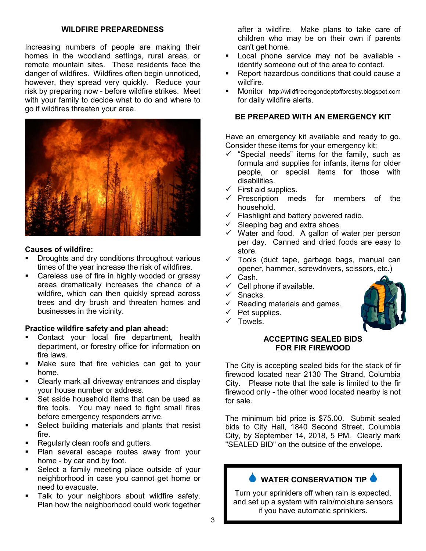#### **WILDFIRE PREPAREDNESS**

Increasing numbers of people are making their homes in the woodland settings, rural areas, or remote mountain sites. These residents face the danger of wildfires. Wildfires often begin unnoticed, however, they spread very quickly. Reduce your risk by preparing now - before wildfire strikes. Meet with your family to decide what to do and where to go if wildfires threaten your area.



# **Causes of wildfire:**

- Droughts and dry conditions throughout various times of the year increase the risk of wildfires.
- **EXEC** Careless use of fire in highly wooded or grassy areas dramatically increases the chance of a wildfire, which can then quickly spread across trees and dry brush and threaten homes and businesses in the vicinity.

#### **Practice wildfire safety and plan ahead:**

- Contact your local fire department, health department, or forestry office for information on fire laws.
- Make sure that fire vehicles can get to your home.
- Clearly mark all driveway entrances and display your house number or address.
- Set aside household items that can be used as fire tools. You may need to fight small fires before emergency responders arrive.
- Select building materials and plants that resist fire.
- Regularly clean roofs and gutters.
- **Plan several escape routes away from your** home - by car and by foot.
- **Select a family meeting place outside of your** neighborhood in case you cannot get home or need to evacuate.
- Talk to your neighbors about wildfire safety. Plan how the neighborhood could work together

after a wildfire. Make plans to take care of children who may be on their own if parents can't get home.

- **-** Local phone service may not be available identify someone out of the area to contact.
- Report hazardous conditions that could cause a wildfire.
- **Monitor** http://wildfireoregondeptofforestry.blogspot.com for daily wildfire alerts.

### **BE PREPARED WITH AN EMERGENCY KIT**

Have an emergency kit available and ready to go. Consider these items for your emergency kit:

- $\checkmark$  "Special needs" items for the family, such as formula and supplies for infants, items for older people, or special items for those with disabilities.
- $\checkmark$  First aid supplies.
- $\checkmark$  Prescription meds for members of the household.
- $\checkmark$  Flashlight and battery powered radio.
- $\checkmark$  Sleeping bag and extra shoes.
- $\checkmark$  Water and food. A gallon of water per person per day. Canned and dried foods are easy to store.
- $\checkmark$  Tools (duct tape, garbage bags, manual can opener, hammer, screwdrivers, scissors, etc.)
- $\checkmark$  Cash.
- $\checkmark$  Cell phone if available.
- $\checkmark$  Snacks.
- $\checkmark$  Reading materials and games.
- $\checkmark$  Pet supplies.
- $\checkmark$  Towels.

#### **ACCEPTING SEALED BIDS FOR FIR FIREWOOD**

The City is accepting sealed bids for the stack of fir firewood located near 2130 The Strand, Columbia City. Please note that the sale is limited to the fir firewood only - the other wood located nearby is not for sale.

The minimum bid price is \$75.00. Submit sealed bids to City Hall, 1840 Second Street, Columbia City, by September 14, 2018, 5 PM. Clearly mark "SEALED BID" on the outside of the envelope.

# **WATER CONSERVATION TIP**

Turn your sprinklers off when rain is expected, and set up a system with rain/moisture sensors if you have automatic sprinklers.